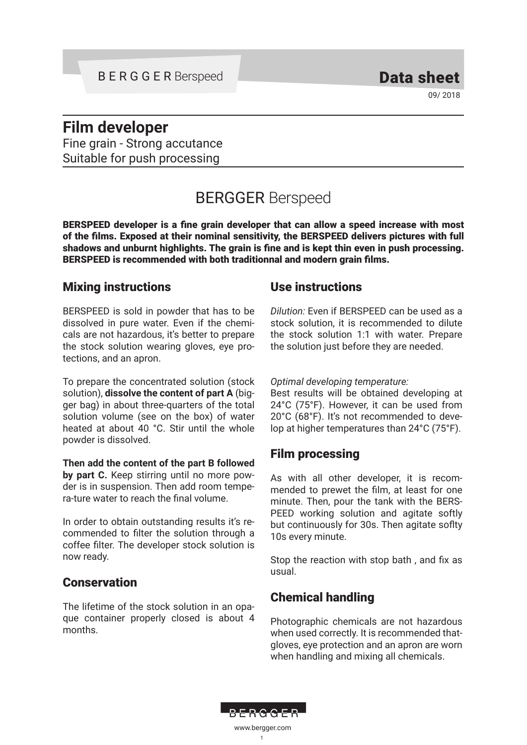09/ 2018

# **Film developer**

Fine grain - Strong accutance Suitable for push processing

# BERGGER Berspeed

BERSPEED developer is a fine grain developer that can allow a speed increase with most of the films. Exposed at their nominal sensitivity, the BERSPEED delivers pictures with full shadows and unburnt highlights. The grain is fine and is kept thin even in push processing. BERSPEED is recommended with both traditionnal and modern grain films.

## Mixing instructions

BERSPEED is sold in powder that has to be dissolved in pure water. Even if the chemicals are not hazardous, it's better to prepare the stock solution wearing gloves, eye protections, and an apron.

To prepare the concentrated solution (stock solution), **dissolve the content of part A** (bigger bag) in about three-quarters of the total solution volume (see on the box) of water heated at about 40 °C. Stir until the whole powder is dissolved.

**Then add the content of the part B followed by part C.** Keep stirring until no more powder is in suspension. Then add room tempera-ture water to reach the final volume.

In order to obtain outstanding results it's recommended to filter the solution through a coffee filter. The developer stock solution is now ready.

## **Conservation**

The lifetime of the stock solution in an opaque container properly closed is about 4 months.

## Use instructions

*Dilution:* Even if BERSPEED can be used as a stock solution, it is recommended to dilute the stock solution 1:1 with water. Prepare the solution just before they are needed.

#### *Optimal developing temperature:*

Best results will be obtained developing at 24°C (75°F). However, it can be used from 20°C (68°F). It's not recommended to develop at higher temperatures than 24°C (75°F).

## Film processing

As with all other developer, it is recommended to prewet the film, at least for one minute. Then, pour the tank with the BERS-PEED working solution and agitate softly but continuously for 30s. Then agitate soflty 10s every minute.

Stop the reaction with stop bath , and fix as usual.

## Chemical handling

Photographic chemicals are not hazardous when used correctly. It is recommended thatgloves, eye protection and an apron are worn when handling and mixing all chemicals.

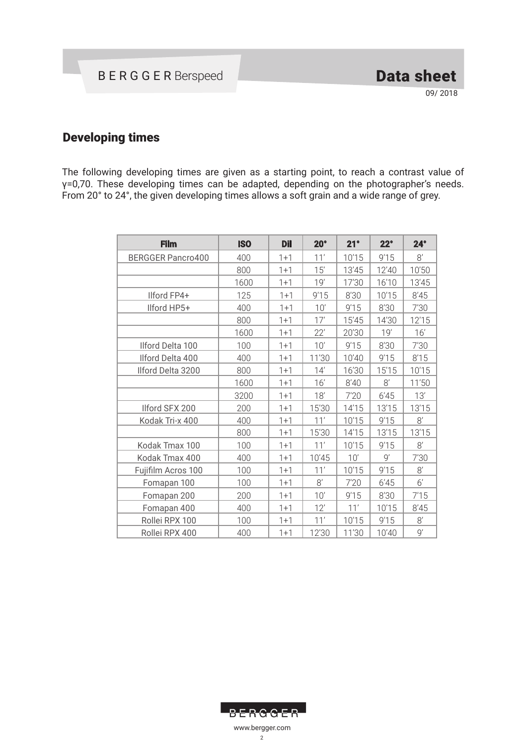## Developing times

The following developing times are given as a starting point, to reach a contrast value of γ=0,70. These developing times can be adapted, depending on the photographer's needs. From 20° to 24°, the given developing times allows a soft grain and a wide range of grey.

| <b>Film</b>              | <b>ISO</b> | <b>Dil</b> | $20^\circ$ | 21°   | $22^\circ$ | $24^\circ$ |
|--------------------------|------------|------------|------------|-------|------------|------------|
| <b>BERGGER Pancro400</b> | 400        | $1 + 1$    | 11'        | 10'15 | 9'15       | 8'         |
|                          | 800        | $1 + 1$    | 15'        | 13'45 | 12'40      | 10'50      |
|                          | 1600       | $1 + 1$    | 19'        | 17'30 | 16'10      | 13'45      |
| Ilford FP4+              | 125        | $1+1$      | 9'15       | 8'30  | 10'15      | 8'45       |
| Ilford HP5+              | 400        | $1+1$      | 10'        | 9'15  | 8'30       | 7'30       |
|                          | 800        | $1 + 1$    | 17'        | 15'45 | 14'30      | 12'15      |
|                          | 1600       | $1+1$      | 22'        | 20'30 | 19'        | 16'        |
| Ilford Delta 100         | 100        | $1 + 1$    | 10'        | 9'15  | 8'30       | 7'30       |
| Ilford Delta 400         | 400        | $1 + 1$    | 11'30      | 10'40 | 9'15       | 8'15       |
| Ilford Delta 3200        | 800        | $1 + 1$    | 14'        | 16'30 | 15'15      | 10'15      |
|                          | 1600       | $1 + 1$    | 16'        | 8'40  | 8'         | 11'50      |
|                          | 3200       | $1 + 1$    | 18'        | 7'20  | 6'45       | 13'        |
| Ilford SFX 200           | 200        | $1 + 1$    | 15'30      | 14'15 | 13'15      | 13'15      |
| Kodak Tri-x 400          | 400        | $1 + 1$    | 11'        | 10'15 | 9'15       | $8^\prime$ |
|                          | 800        | $1 + 1$    | 15'30      | 14'15 | 13'15      | 13'15      |
| Kodak Tmax 100           | 100        | $1 + 1$    | 11'        | 10'15 | 9'15       | $8^\prime$ |
| Kodak Tmax 400           | 400        | $1 + 1$    | 10'45      | 10'   | 9'         | 7'30       |
| Fujifilm Acros 100       | 100        | $1+1$      | 11'        | 10'15 | 9'15       | $8'$       |
| Fomapan 100              | 100        | $1 + 1$    | 8'         | 7'20  | 6'45       | $6'$       |
| Fomapan 200              | 200        | $1+1$      | 10'        | 9'15  | 8'30       | 7'15       |
| Fomapan 400              | 400        | $1+1$      | 12'        | 11'   | 10'15      | 8'45       |
| Rollei RPX 100           | 100        | $1 + 1$    | 11'        | 10'15 | 9'15       | 8'         |
| Rollei RPX 400           | 400        | $1 + 1$    | 12'30      | 11'30 | 10'40      | 9'         |